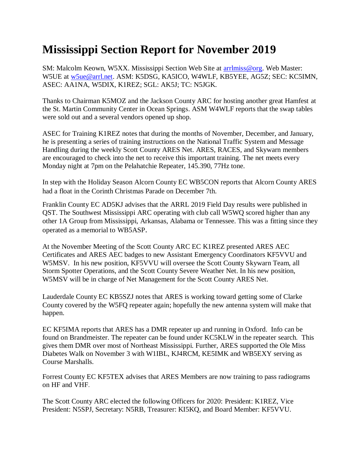## **Mississippi Section Report for November 2019**

SM: Malcolm Keown, W5XX. Mississippi Section Web Site at [arrlmiss@org.](mailto:arrlmiss@org) Web Master: W5UE at [w5ue@arrl.net.](mailto:w5ue@arrl.net) ASM: K5DSG, KA5ICO, W4WLF, KB5YEE, AG5Z; SEC: KC5IMN, ASEC: AA1NA, W5DIX, K1REZ; SGL: AK5J; TC: N5JGK.

Thanks to Chairman K5MOZ and the Jackson County ARC for hosting another great Hamfest at the St. Martin Community Center in Ocean Springs. ASM W4WLF reports that the swap tables were sold out and a several vendors opened up shop.

ASEC for Training K1REZ notes that during the months of November, December, and January, he is presenting a series of training instructions on the National Traffic System and Message Handling during the weekly Scott County ARES Net. ARES, RACES, and Skywarn members are encouraged to check into the net to receive this important training. The net meets every Monday night at 7pm on the Pelahatchie Repeater, 145.390, 77Hz tone.

In step with the Holiday Season Alcorn County EC WB5CON reports that Alcorn County ARES had a float in the Corinth Christmas Parade on December 7th.

Franklin County EC AD5KJ advises that the ARRL 2019 Field Day results were published in QST. The Southwest Mississippi ARC operating with club call W5WQ scored higher than any other 1A Group from Mississippi, Arkansas, Alabama or Tennessee. This was a fitting since they operated as a memorial to WB5ASP.

At the November Meeting of the Scott County ARC EC K1REZ presented ARES AEC Certificates and ARES AEC badges to new Assistant Emergency Coordinators KF5VVU and W5MSV. In his new position, KF5VVU will oversee the Scott County Skywarn Team, all Storm Spotter Operations, and the Scott County Severe Weather Net. In his new position, W5MSV will be in charge of Net Management for the Scott County ARES Net.

Lauderdale County EC KB5SZJ notes that ARES is working toward getting some of Clarke County covered by the W5FQ repeater again; hopefully the new antenna system will make that happen.

EC KF5IMA reports that ARES has a DMR repeater up and running in Oxford. Info can be found on Brandmeister. The repeater can be found under KC5KLW in the repeater search. This gives them DMR over most of Northeast Mississippi. Further, ARES supported the Ole Miss Diabetes Walk on November 3 with W1IBL, KJ4RCM, KE5IMK and WB5EXY serving as Course Marshalls.

Forrest County EC KF5TEX advises that ARES Members are now training to pass radiograms on HF and VHF.

The Scott County ARC elected the following Officers for 2020: President: K1REZ, Vice President: N5SPJ, Secretary: N5RB, Treasurer: KI5KQ, and Board Member: KF5VVU.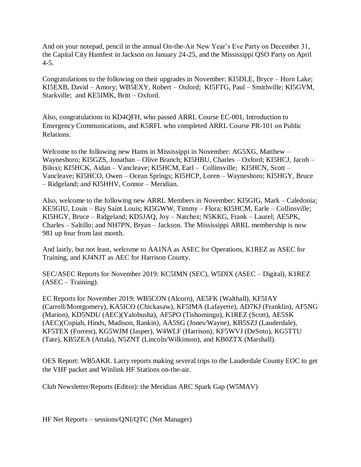And on your notepad, pencil in the annual On-the-Air New Year's Eve Party on December 31, the Capital City Hamfest in Jackson on January 24-25, and the Mississippi QSO Party on April 4-5.

Congratulations to the following on their upgrades in November: KI5DLE, Bryce – Horn Lake; KI5EXB, David – Amory; WB5EXY, Robert – Oxford; KI5FTG, Paul – Smithville; KI5GVM, Starkville; and KE5IMK, Britt – Oxford.

Also, congratulations to KD4QFH, who passed ARRL Course EC-001, Introduction to Emergency Communications, and K5RFL who completed ARRL Course PR-101 on Public Relations.

Welcome to the following new Hams in Mississippi in November: AG5XG, Matthew – Waynesboro; KI5GZS, Jonathan – Olive Branch; KI5HBU, Charles – Oxford; KI5HCJ, Jacob – Biloxi; KI5HCK, Aidan – Vancleave; KI5HCM, Earl – Collinsville; KI5HCN, Scott – Vancleave; KI5HCO, Owen – Ocean Springs; KI5HCP, Loren – Waynesboro; KI5HGY, Bruce – Ridgeland; and KI5HHV, Connor – Meridian.

Also, welcome to the following new ARRL Members in November: KI5GIG, Mark – Caledonia; KE5GIU, Louis – Bay Saint Louis; KI5GWW, Timmy – Flora; KI5HCM, Earle – Collinsville; KI5HGY, Bruce – Ridgeland; KD5JAQ, Joy – Natchez; N5KKG, Frank – Laurel; AE5PK, Charles – Saltillo; and NH7PN, Bryan – Jackson. The Mississippi ARRL membership is now 981 up four from last month.

And lastly, but not least, welcome to AA1NA as ASEC for Operations, K1REZ as ASEC for Training, and KJ4NJT as AEC for Harrison County.

SEC/ASEC Reports for November 2019: KC5IMN (SEC), W5DIX (ASEC – Digital), K1REZ (ASEC – Training).

EC Reports for November 2019: WB5CON (Alcorn), AE5FK (Walthall), KF5IAY (Carroll/Montgomery), KA5ICO (Chickasaw), KF5IMA (Lafayette), AD7KJ (Franklin), AF5NG (Marion), KD5NDU (AEC)(Yalobusha), AF5PO (Tishomingo), K1REZ (Scott), AE5SK (AEC)(Copiah, Hinds, Madison, Rankin), AA5SG (Jones/Wayne), KB5SZJ (Lauderdale), KF5TEX (Forrest), KG5WJM (Jasper), W4WLF (Harrison), KF5WVJ (DeSoto), KG5TTU (Tate), KB5ZEA (Attala), N5ZNT (Lincoln/Wilkinson), and KB0ZTX (Marshall).

OES Report: WB5AKR. Larry reports making several trips to the Lauderdale County EOC to get the VHF packet and Winlink HF Stations on-the-air.

Club Newsletter/Reports (Editor): the Meridian ARC Spark Gap (W5MAV)

HF Net Reports – sessions/QNI/QTC (Net Manager)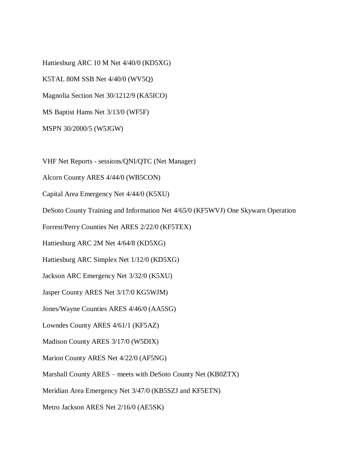Hattiesburg ARC 10 M Net 4/40/0 (KD5XG) K5TAL 80M SSB Net 4/40/0 (WV5Q) Magnolia Section Net 30/1212/9 (KA5ICO) MS Baptist Hams Net 3/13/0 (WF5F) MSPN 30/2000/5 (W5JGW)

VHF Net Reports - sessions/QNI/QTC (Net Manager)

Alcorn County ARES 4/44/0 (WB5CON)

Capital Area Emergency Net 4/44/0 (K5XU)

DeSoto County Training and Information Net 4/65/0 (KF5WVJ) One Skywarn Operation

Forrest/Perry Counties Net ARES 2/22/0 (KF5TEX)

Hattiesburg ARC 2M Net 4/64/8 (KD5XG)

Hattiesburg ARC Simplex Net 1/12/0 (KD5XG)

Jackson ARC Emergency Net 3/32/0 (K5XU)

Jasper County ARES Net 3/17/0 KG5WJM)

Jones/Wayne Counties ARES 4/46/0 (AA5SG)

Lowndes County ARES 4/61/1 (KF5AZ)

Madison County ARES 3/17/0 (W5DIX)

Marion County ARES Net 4/22/0 (AF5NG)

Marshall County ARES – meets with DeSoto County Net (KB0ZTX)

Meridian Area Emergency Net 3/47/0 (KB5SZJ and KF5ETN)

Metro Jackson ARES Net 2/16/0 (AE5SK)